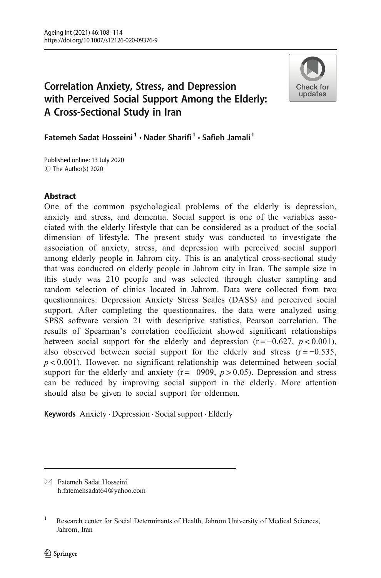

# Correlation Anxiety, Stress, and Depression with Perceived Social Support Among the Elderly: A Cross-Sectional Study in Iran

Fatemeh Sadat Hosseini<sup>1</sup> · Nader Sharifi<sup>1</sup> · Safieh Jamali<sup>1</sup>

C The Author(s) 2020 Published online: 13 July 2020

# Abstract

One of the common psychological problems of the elderly is depression, anxiety and stress, and dementia. Social support is one of the variables associated with the elderly lifestyle that can be considered as a product of the social dimension of lifestyle. The present study was conducted to investigate the association of anxiety, stress, and depression with perceived social support among elderly people in Jahrom city. This is an analytical cross-sectional study that was conducted on elderly people in Jahrom city in Iran. The sample size in this study was 210 people and was selected through cluster sampling and random selection of clinics located in Jahrom. Data were collected from two questionnaires: Depression Anxiety Stress Scales (DASS) and perceived social support. After completing the questionnaires, the data were analyzed using SPSS software version 21 with descriptive statistics, Pearson correlation. The results of Spearman's correlation coefficient showed significant relationships between social support for the elderly and depression ( $r = -0.627$ ,  $p < 0.001$ ), also observed between social support for the elderly and stress  $(r = -0.535)$ ,  $p < 0.001$ ). However, no significant relationship was determined between social support for the elderly and anxiety ( $r = -0909$ ,  $p > 0.05$ ). Depression and stress can be reduced by improving social support in the elderly. More attention should also be given to social support for oldermen.

Keywords Anxiety . Depression . Social support . Elderly

 $\boxtimes$  Fatemeh Sadat Hosseini [h.fatemehsadat64@yahoo.com](mailto:h.fatemehsadat64@yahoo.com)

<sup>&</sup>lt;sup>1</sup> Research center for Social Determinants of Health, Jahrom University of Medical Sciences, Jahrom, Iran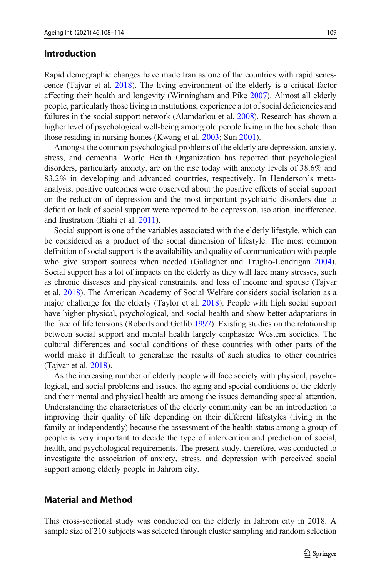#### Introduction

Rapid demographic changes have made Iran as one of the countries with rapid senescence (Tajvar et al. [2018](#page-5-0)). The living environment of the elderly is a critical factor affecting their health and longevity (Winningham and Pike [2007](#page-6-0)). Almost all elderly people, particularly those living in institutions, experience a lot of social deficiencies and failures in the social support network (Alamdarlou et al. [2008](#page-5-0)). Research has shown a higher level of psychological well-being among old people living in the household than those residing in nursing homes (Kwang et al. [2003;](#page-5-0) Sun [2001\)](#page-5-0).

Amongst the common psychological problems of the elderly are depression, anxiety, stress, and dementia. World Health Organization has reported that psychological disorders, particularly anxiety, are on the rise today with anxiety levels of 38.6% and 83.2% in developing and advanced countries, respectively. In Henderson's metaanalysis, positive outcomes were observed about the positive effects of social support on the reduction of depression and the most important psychiatric disorders due to deficit or lack of social support were reported to be depression, isolation, indifference, and frustration (Riahi et al. [2011\)](#page-5-0).

Social support is one of the variables associated with the elderly lifestyle, which can be considered as a product of the social dimension of lifestyle. The most common definition of social support is the availability and quality of communication with people who give support sources when needed (Gallagher and Truglio-Londrigan [2004\)](#page-5-0). Social support has a lot of impacts on the elderly as they will face many stresses, such as chronic diseases and physical constraints, and loss of income and spouse (Tajvar et al. [2018\)](#page-5-0). The American Academy of Social Welfare considers social isolation as a major challenge for the elderly (Taylor et al. [2018\)](#page-5-0). People with high social support have higher physical, psychological, and social health and show better adaptations in the face of life tensions (Roberts and Gotlib [1997\)](#page-5-0). Existing studies on the relationship between social support and mental health largely emphasize Western societies. The cultural differences and social conditions of these countries with other parts of the world make it difficult to generalize the results of such studies to other countries (Tajvar et al. [2018\)](#page-5-0).

As the increasing number of elderly people will face society with physical, psychological, and social problems and issues, the aging and special conditions of the elderly and their mental and physical health are among the issues demanding special attention. Understanding the characteristics of the elderly community can be an introduction to improving their quality of life depending on their different lifestyles (living in the family or independently) because the assessment of the health status among a group of people is very important to decide the type of intervention and prediction of social, health, and psychological requirements. The present study, therefore, was conducted to investigate the association of anxiety, stress, and depression with perceived social support among elderly people in Jahrom city.

### Material and Method

This cross-sectional study was conducted on the elderly in Jahrom city in 2018. A sample size of 210 subjects was selected through cluster sampling and random selection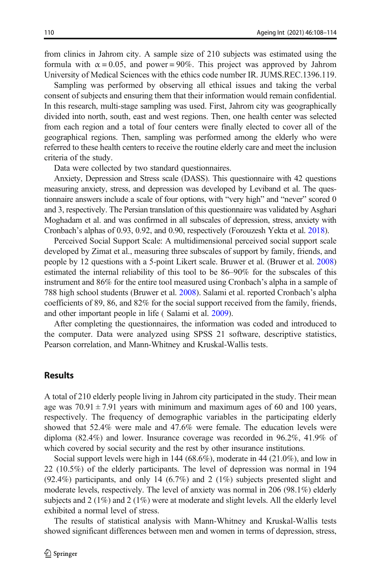from clinics in Jahrom city. A sample size of 210 subjects was estimated using the formula with  $\alpha = 0.05$ , and power = 90%. This project was approved by Jahrom University of Medical Sciences with the ethics code number IR. JUMS.REC.1396.119.

Sampling was performed by observing all ethical issues and taking the verbal consent of subjects and ensuring them that their information would remain confidential. In this research, multi-stage sampling was used. First, Jahrom city was geographically divided into north, south, east and west regions. Then, one health center was selected from each region and a total of four centers were finally elected to cover all of the geographical regions. Then, sampling was performed among the elderly who were referred to these health centers to receive the routine elderly care and meet the inclusion criteria of the study.

Data were collected by two standard questionnaires.

Anxiety, Depression and Stress scale (DASS). This questionnaire with 42 questions measuring anxiety, stress, and depression was developed by Leviband et al. The questionnaire answers include a scale of four options, with "very high" and "never" scored 0 and 3, respectively. The Persian translation of this questionnaire was validated by Asghari Moghadam et al. and was confirmed in all subscales of depression, stress, anxiety with Cronbach's alphas of 0.93, 0.92, and 0.90, respectively (Forouzesh Yekta et al. [2018\)](#page-5-0).

Perceived Social Support Scale: A multidimensional perceived social support scale developed by Zimat et al., measuring three subscales of support by family, friends, and people by 12 questions with a 5-point Likert scale. Bruwer et al. (Bruwer et al. [2008](#page-5-0)) estimated the internal reliability of this tool to be 86–90% for the subscales of this instrument and 86% for the entire tool measured using Cronbach's alpha in a sample of 788 high school students (Bruwer et al. [2008](#page-5-0)). Salami et al. reported Cronbach's alpha coefficients of 89, 86, and 82% for the social support received from the family, friends, and other important people in life ( Salami et al. [2009\)](#page-5-0).

After completing the questionnaires, the information was coded and introduced to the computer. Data were analyzed using SPSS 21 software, descriptive statistics, Pearson correlation, and Mann-Whitney and Kruskal-Wallis tests.

### **Results**

A total of 210 elderly people living in Jahrom city participated in the study. Their mean age was  $70.91 \pm 7.91$  years with minimum and maximum ages of 60 and 100 years, respectively. The frequency of demographic variables in the participating elderly showed that 52.4% were male and 47.6% were female. The education levels were diploma (82.4%) and lower. Insurance coverage was recorded in 96.2%, 41.9% of which covered by social security and the rest by other insurance institutions.

Social support levels were high in 144 (68.6%), moderate in 44 (21.0%), and low in 22 (10.5%) of the elderly participants. The level of depression was normal in 194  $(92.4\%)$  participants, and only 14  $(6.7\%)$  and 2  $(1\%)$  subjects presented slight and moderate levels, respectively. The level of anxiety was normal in 206 (98.1%) elderly subjects and 2 (1%) and 2 (1%) were at moderate and slight levels. All the elderly level exhibited a normal level of stress.

The results of statistical analysis with Mann-Whitney and Kruskal-Wallis tests showed significant differences between men and women in terms of depression, stress,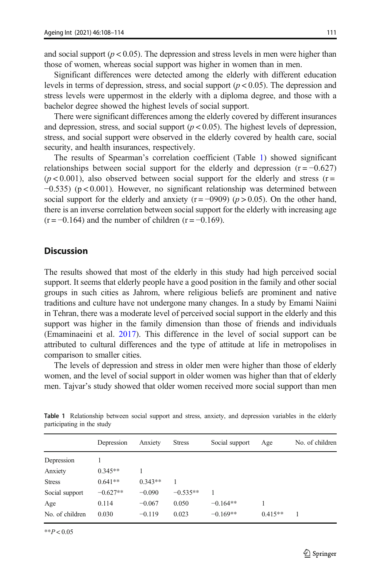and social support ( $p < 0.05$ ). The depression and stress levels in men were higher than those of women, whereas social support was higher in women than in men.

Significant differences were detected among the elderly with different education levels in terms of depression, stress, and social support  $(p < 0.05)$ . The depression and stress levels were uppermost in the elderly with a diploma degree, and those with a bachelor degree showed the highest levels of social support.

There were significant differences among the elderly covered by different insurances and depression, stress, and social support ( $p < 0.05$ ). The highest levels of depression, stress, and social support were observed in the elderly covered by health care, social security, and health insurances, respectively.

The results of Spearman's correlation coefficient (Table 1) showed significant relationships between social support for the elderly and depression  $(r = -0.627)$  $(p < 0.001)$ , also observed between social support for the elderly and stress (r= −0.535) (p < 0.001). However, no significant relationship was determined between social support for the elderly and anxiety ( $r = -0909$ ) ( $p > 0.05$ ). On the other hand, there is an inverse correlation between social support for the elderly with increasing age  $(r = -0.164)$  and the number of children  $(r = -0.169)$ .

#### **Discussion**

The results showed that most of the elderly in this study had high perceived social support. It seems that elderly people have a good position in the family and other social groups in such cities as Jahrom, where religious beliefs are prominent and native traditions and culture have not undergone many changes. In a study by Emami Naiini in Tehran, there was a moderate level of perceived social support in the elderly and this support was higher in the family dimension than those of friends and individuals (Emaminaeini et al. [2017\)](#page-5-0). This difference in the level of social support can be attributed to cultural differences and the type of attitude at life in metropolises in comparison to smaller cities.

The levels of depression and stress in older men were higher than those of elderly women, and the level of social support in older women was higher than that of elderly men. Tajvar's study showed that older women received more social support than men

|                 | Depression | Anxiety   | <b>Stress</b> | Social support | Age       | No. of children |
|-----------------|------------|-----------|---------------|----------------|-----------|-----------------|
| Depression      |            |           |               |                |           |                 |
| Anxiety         | $0.345**$  |           |               |                |           |                 |
| <b>Stress</b>   | $0.641**$  | $0.343**$ |               |                |           |                 |
| Social support  | $-0.627**$ | $-0.090$  | $-0.535**$    |                |           |                 |
| Age             | 0.114      | $-0.067$  | 0.050         | $-0.164**$     |           |                 |
| No. of children | 0.030      | $-0.119$  | 0.023         | $-0.169**$     | $0.415**$ | 1               |

Table 1 Relationship between social support and stress, anxiety, and depression variables in the elderly participating in the study

 $*$  $P < 0.05$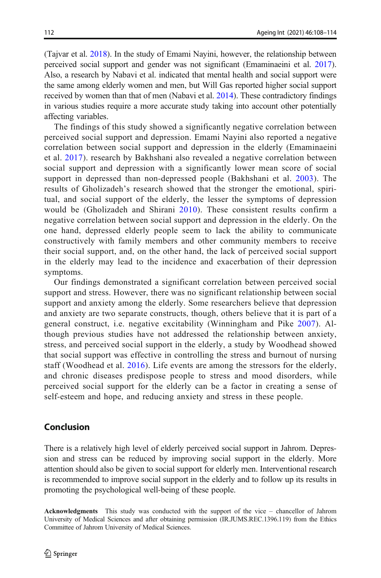(Tajvar et al. [2018](#page-5-0)). In the study of Emami Nayini, however, the relationship between perceived social support and gender was not significant (Emaminaeini et al. [2017\)](#page-5-0). Also, a research by Nabavi et al. indicated that mental health and social support were the same among elderly women and men, but Will Gas reported higher social support received by women than that of men (Nabavi et al. [2014](#page-5-0)). These contradictory findings in various studies require a more accurate study taking into account other potentially affecting variables.

The findings of this study showed a significantly negative correlation between perceived social support and depression. Emami Nayini also reported a negative correlation between social support and depression in the elderly (Emaminaeini et al. [2017\)](#page-5-0). research by Bakhshani also revealed a negative correlation between social support and depression with a significantly lower mean score of social support in depressed than non-depressed people (Bakhshani et al. [2003\)](#page-5-0). The results of Gholizadeh's research showed that the stronger the emotional, spiritual, and social support of the elderly, the lesser the symptoms of depression would be (Gholizadeh and Shirani [2010\)](#page-5-0). These consistent results confirm a negative correlation between social support and depression in the elderly. On the one hand, depressed elderly people seem to lack the ability to communicate constructively with family members and other community members to receive their social support, and, on the other hand, the lack of perceived social support in the elderly may lead to the incidence and exacerbation of their depression symptoms.

Our findings demonstrated a significant correlation between perceived social support and stress. However, there was no significant relationship between social support and anxiety among the elderly. Some researchers believe that depression and anxiety are two separate constructs, though, others believe that it is part of a general construct, i.e. negative excitability (Winningham and Pike [2007](#page-6-0)). Although previous studies have not addressed the relationship between anxiety, stress, and perceived social support in the elderly, a study by Woodhead showed that social support was effective in controlling the stress and burnout of nursing staff (Woodhead et al. [2016\)](#page-6-0). Life events are among the stressors for the elderly, and chronic diseases predispose people to stress and mood disorders, while perceived social support for the elderly can be a factor in creating a sense of self-esteem and hope, and reducing anxiety and stress in these people.

## Conclusion

There is a relatively high level of elderly perceived social support in Jahrom. Depression and stress can be reduced by improving social support in the elderly. More attention should also be given to social support for elderly men. Interventional research is recommended to improve social support in the elderly and to follow up its results in promoting the psychological well-being of these people.

Acknowledgments This study was conducted with the support of the vice – chancellor of Jahrom University of Medical Sciences and after obtaining permission (IR.JUMS.REC.1396.119) from the Ethics Committee of Jahrom University of Medical Sciences.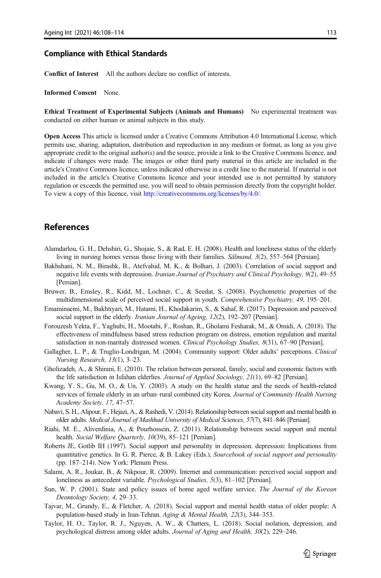#### <span id="page-5-0"></span>Compliance with Ethical Standards

Conflict of Interest All the authors declare no conflict of interests.

#### Informed Consent None.

Ethical Treatment of Experimental Subjects (Animals and Humans) No experimental treatment was conducted on either human or animal subjects in this study.

Open Access This article is licensed under a Creative Commons Attribution 4.0 International License, which permits use, sharing, adaptation, distribution and reproduction in any medium or format, as long as you give appropriate credit to the original author(s) and the source, provide a link to the Creative Commons licence, and indicate if changes were made. The images or other third party material in this article are included in the article's Creative Commons licence, unless indicated otherwise in a credit line to the material. If material is not included in the article's Creative Commons licence and your intended use is not permitted by statutory regulation or exceeds the permitted use, you will need to obtain permission directly from the copyright holder. To view a copy of this licence, visit [http://creativecommons.org/licenses/by/4.0/](https://doi.org/).

#### References

- Alamdarlou, G. H., Dehshiri, G., Shojaie, S., & Rad, E. H. (2008). Health and loneliness status of the elderly living in nursing homes versus those living with their families. Sālmand, 3(2), 557–564 [Persian].
- Bakhshani, N. M., Birashk, B., Atefvahid, M. K., & Bolhari, J. (2003). Correlation of social support and negative life events with depression. Iranian Journal of Psychiatry and Clinical Psychology, 9(2), 49–55 [Persian].
- Bruwer, B., Emsley, R., Kidd, M., Lochner, C., & Seedat, S. (2008). Psychometric properties of the multidimensional scale of perceived social support in youth. Comprehensive Psychiatry, 49, 195–201.
- Emaminaeini, M., Bakhtiyari, M., Hatami, H., Khodakarim, S., & Sahaf, R. (2017). Depression and perceived social support in the elderly. Iranian Journal of Ageing, 12(2), 192–207 [Persian].
- Forouzesh Yekta, F., Yaghubi, H., Mootabi, F., Roshan, R., Gholami Fesharak, M., & Omidi, A. (2018). The effectiveness of mindfulness based stress reduction program on distress, emotion regulation and marital satisfaction in non-maritaly distressed women. Clinical Psychology Studies, 8(31), 67–90 [Persian].
- Gallagher, L. P., & Truglio-Londrigan, M. (2004). Community support: Older adults' perceptions. Clinical Nursing Research, 13(1), 3–23.
- Gholizadeh, A., & Shirani, E. (2010). The relation between personal, family, social and economic factors with the life satisfaction in Isfahan elderlies. Journal of Applied Sociology, 21(1), 69–82 [Persian].
- Kwang, Y. S., Gu, M. O., & Un, Y. (2003). A study on the health statue and the needs of health-related services of female elderly in an urban–rural combined city Korea. Journal of Community Health Nursing Academy Society, 17, 47–57.
- Nabavi, S. H., Alipour, F., Hejazi, A., & Rashedi, V. (2014). Relationship between social support and mental health in older adults. Medical Journal of Mashhad University of Medical Sciences, 57(7), 841–846 [Persian].
- Riahi, M. E., Aliverdinia, A., & Pourhossein, Z. (2011). Relationship between social support and mental health. Social Welfare Quarterly, 10(39), 85-121 [Persian].
- Roberts JE, Gotlib IH (1997). Social support and personality in depression. depression: Implications from quantitative genetics. In G. R. Pierce, & B. Lakey (Eds.), Sourcebook of social support and personality (pp. 187–214). New York: Plenum Press.
- Salami, A. R., Joukar, B., & Nikpour, R. (2009). Internet and communication: perceived social support and loneliness as antecedent variable. Psychological Studies, 5(3), 81–102 [Persian].
- Sun, W. P. (2001). State and policy issues of home aged welfare service. The Journal of the Korean Deontology Society, 4, 29–33.
- Tajvar, M., Grundy, E., & Fletcher, A. (2018). Social support and mental health status of older people: A population-based study in Iran-Tehran. Aging & Mental Health, 22(3), 344–353.
- Taylor, H. O., Taylor, R. J., Nguyen, A. W., & Chatters, L. (2018). Social isolation, depression, and psychological distress among older adults. Journal of Aging and Health, 30(2), 229–246.